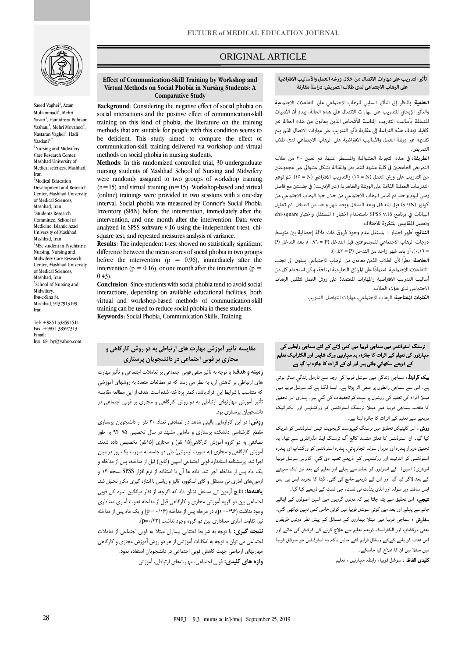

Saeed Vaghei<sup>1</sup>, Azam Mohammadi<sup>1</sup>, Mehri Yavari<sup>1</sup>, Hamidreza Behnam Vashani<sup>1</sup>, Mehri Movahed<sup>2</sup>, Nastaran Vaghei<sup>3</sup>, Hadi Yazdani4,\* <sup>1</sup>Nursing and Midwifery Care Research Center, Mashhad University of Medical sciences, Mashhad, Iran <sup>2</sup>Medical Education Development and Research Center, Mashhad University of Medical Sciences, Mashhad, Iran 3 Students Research Committee, School of Medicine, Islamic Azad University of Mashhad, Mashhad, Iran <sup>4</sup>MSc student in Psychiatric Nursing, Nursing and Midwifery Care Research Center, Mashhad University of Medical Sciences, Mashhad, Iran \* School of Nursing and Midwifery, Ibn-e-Sina St. Mashhad, 9137913199 Iran

Tel: +9851 338591511 Fax: +9851 38597313 Email: hys\_68\_by@yahoo.com

# ORIGINAL ARTICLE

#### تأثير التدريب على مهارات الاتصال من خلال ورشة العمل والأساليب الافتراضية على الرهاب الاجتماعي لدى طلاب التمريض: دراسة مقارنة

ص

الخلفية: بالنظر إلى التأثير السلبي للرهاب الاجتماعي على التفاعلات الاجتماعية والتأثير الإيجابي للتدريب على مهارات الاتصال على هذه الحالة، يبدو أن الأدبيات المتعلقة بأساليب التدريب المناسبة للأشخاص الذين يعانون من هذه الحالة غير كافية. تهدف هذه الدراسة إلى مقارنة تأثير التدريب على مهارات الاتصال الذي يتم تقديمه عبر ورشة العمل والأساليب الافتراضية على الرهاب الاجتماعي لدى طلاب التم يض.

الطريقة: في هذه التجربة العشوائية والمسيطر عليها، تم تعيين ٣٠ من طلاب التمريض الجامعيين في كلية مشهد للتمريض والقبالة بشكل عشوائي على مجموعتين من التدريب على ورش العمل (N = N) والتدريب الافتراضي (N = 0)). تم توفير التدريبات العملية القامَّة على الورشة والظاهرية (عبر الإنترنت) في جلستين مع فاصل زمني ليوم واحد. تم قياس الرهاب الاجتماعي من خلال جرد الرهاب الاجتماعي من كونور (SPIN) قبل التدخل وبعد التدخل وبعد شهر واحد من التدخل. تم تحليل البيانات في برنامج SPSS v.16 باستخدام اختبار t المستقل واختبار chi-square وتحليل المقاييس المتكررة للاختلاف.

النتائج: أظهر اختبار t المستقل عدم وجود فروق ذات دلالة إحصائية بين متوسط درجات الرهاب الاجتماعي للمجموعتين قبل التدخل (P = ٠,٩٦)، بعد التدخل (P = ٠,١٦)، أو بعد شهر واحد من التدخل (e,٤٣ = ٢).

ا**لخلاصة:** نظراً لأن الطلاب الذين يعانون من الرهاب الاجتماعي ڥيلون إلى تجنب التفاعلات الاجتماعية، اعتمادًا على المرافق التعليمية المتاحة، عِكن استخدام كل من أساليب التدريب الافتراضية والمهارات المعتمدة على ورش العمل لتقليل الرهاب الاجتماعي لدى هؤلاء الطلاب.

الكلمات المفتاحية: الرهاب الاجتماعي، مهارات التواصل، التدريب

### نرسنگ اسٹوڈنٹس میں سماجی فوبیا میں کمی لانے کے لئے سماجی رابطوں کی مہارتوں کی تعیلم کے اثرات کا جائزہ، یہ مہارتیں ورک شاپس اور الکٹرانیک تعلیم کے ذریعے سکھائي جاتی ہیں اور ان کے اثرات کا جائزہ لیا گيا ہے

بیک گراونڈ: سماجی زندگی میں سوشل فوبیا کی وجہ سے نارمل زندگي متاثر ہوتی ہے، اس سے سماجی رابطوں پر منفی اثر پڑتا ہے۔ ایسا لگتا ہے کہ سوشل فوبیا میں مبتلا افراد کی تعلیم کی روشوں پر بہت کم تحقیقات کی گئي ہیں۔ ہماری اس تحقیق کا مقصد سماجی فوبیا میں مبتلا نرسنگ اسٹوڈنٹس کو ورکشاپس اور الکٹرانیک ذریعے سے تعلیم کے اثرات کا جائزہ لینا ہے۔

روش : اس کلینیکل تحقیق میں نرسنگ کےپوسٹ گریجویٹ تیس اسٹوڈنٹس کو شریک کیا گیا۔ ان اسٹوڈنٹس کا تعلق مشہد کالج آف نرسنگ اینڈ مڈوائفری سے تھا۔ یہ تحقیق دوہزار پندرہ اور دوہزار سولہ انجام پائي۔ پندرہ اسٹوڈنٹس کو ورکشاپ اور پندرہ اسٹوڈنٹس کو انٹرنیٹ اور ورکشاپس کے ذریعے تعلیم دی گئي، کانرس سوشل فوبیا انونٹری( اسپن) کے اصولوں کو تعلیم سے پہلے اور تعلیم کے بعد نیز ایک مہینے کے بعد لاگو کیا گيا اور اس کے ذریعے جانچ کی گئی۔ ڈیٹا کا تجزیہ ایس پی ایس ایس سافٹ ویر سولہ اور انڈی پنڈنٹ ٹی ٹسٹ، چی ٹسٹ کے ذریعے کیا گيا۔

نتیجے: اس تحقیق سے پتہ چلتا ہے کہ دونوں گروہوں میں اسپن اصولوں کے اپنائے جانےسے پہلے اور بعد میں کوئي سوشل فوبیا میں کوئي خاص کمی نہیں دیکھی گئي۔ سفارش : سماجی فوبیا میں مبتلا بیماروں کے مسائل کے پیش نظر دونوں طریقوں یعنی ورکشاپ اور الکٹرانیک ذریعہ تعلیم سے علاج کرنے کی کوشش کی جائے اور اس ھدف کو پانے کےلئے وسائل فراہم کئے جائیں تاکہ وہ اسٹوڈنٹس جو سوشل فوبیا میں مبتلا ہیں ان کا علاج کیا جاسکے۔

کلیدی الفاظ : سوشل فوبیا، رابطہ مہارتیں ، تعلیم

#### **Effect of Communication-Skill Training by Workshop and Virtual Methods on Social Phobia in Nursing Students: A Comparative Study**

**Background**: Considering the negative effect of social phobia on social interactions and the positive effect of communication-skill training on this kind of phobia, the literature on the training methods that are suitable for people with this condition seems to be deficient. This study aimed to compare the effect of communication-skill training delivered via workshop and virtual methods on social phobia in nursing students.

**Methods**: In this randomized controlled trial, 30 undergraduate nursing students of Mashhad School of Nursing and Midwifery were randomly assigned to two groups of workshop training  $(n=15)$  and virtual training  $(n=15)$ . Workshop-based and virtual (online) trainings were provided in two sessions with a one-day interval. Social phobia was measured by Connor's Social Phobia Inventory (SPIN) before the intervention, immediately after the intervention, and one month after the intervention. Data were analyzed in SPSS software v.16 using the independent t-test, chisquare test, and repeated measures analysis of variance.

**Results**: The independent t-test showed no statistically significant difference between the mean scores of social phobia in two groups before the intervention ( $p = 0.96$ ), immediately after the intervention ( $p = 0.16$ ), or one month after the intervention ( $p =$ 0.43).

**Conclusion**: Since students with social phobia tend to avoid social interactions, depending on available educational facilities, both virtual and workshop-based methods of communication-skill training can be used to reduce social phobia in these students. **Keywords:** Social Phobia, Communication Skills, Training

## **مقایسه تأثیر آموزش مهارت های ارتباطی به دو روش کارگاهی و مجازی بر فوبی اجتماعی در دانشجویان پرستاری**

**زمینه و هدف:** با توجه به تأثیر منفی فوبی اجتماعی بر تعامالت اجتماعی و تأثیر مهارت های ارتباطی بر کاهش آن، به نظر می رسد که در مطالعات متعدد به روشهای آموزشی که متناسب با شرایط این افراد باشد، کمتر پرداخته شده است.هدف از این مطالعه مقایسه تأثیر آموزش مهارتهای ارتباطی به دو روش کارگاهی و مجازی بر فوبی اجتماعی در دانشجویان پرستاری بود.

**روش:** در این کارآزمایی بالینی شاهد دار تصادفی تعداد 30 نفر از دانشجویان پرستاری مقطع کارشناسی دانشکده پرستاری و مامایی مشهد در سال تحصیلی 94-95 به طور تصادفی به دو گروه آموزش کارگاهی)15 نفر( و مجازی )15نفر( تخصیص داده شدند. آموزش کارگاهی و مجازی )به صورت اینترنتی( طی دو جلسه به صورت یک روز در میان اجرا شد. پرسشنامه استاندارد فوبی اجتماعی اسپین )کانور( قبل از مداخله، پس از مداخله و یک ماه پس از مداخله اجرا شد. داده ها آن با استفاده از نرم افزار SPSS نسخه 16 و آزمونهای آماری تی مستقل و کای اسکوور، آنالیز واریانس با اندازه گیری مکرر تحلیل شد. **یافتهها:** نتایج آزمون تی مستقل نشان داد که اگرچه، از نظر میانگین نمره کل فوبی اجتماعی بین دو گروه آموزش مجازی و کارگاهی قبل از مداخله تفاوت آماری معناداری وجود نداشت (9/9/0= p)، در مرحله پس از مداخله (1/8/0= p) و یک ماه پس از مداخله نیز، تفاوت آماری معناداری بین دو گروه وجود نداشت (p=٠/۴۳).

**نتیجه گیری:** با توجه به شرایط اجتنابی بیماران مبتال به فوبی اجتماعی از تعامالت اجتماعی می توان با توجه به امکانات آموزشی از هر دو روش آموزش مجازی و کارگاهی مهارتهای ارتباطی جهت کاهش فوبی اجتماعی در دانشجویان استفاده نمود. **واژه های کلیدی:** فوبی اجتماعی، مهارتهای ارتباطی، آموزش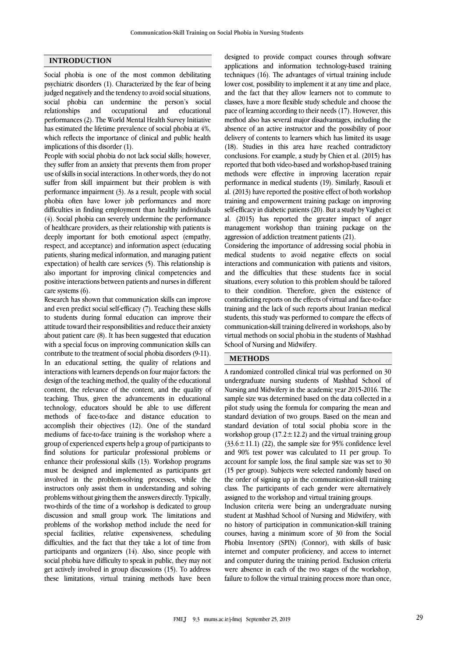## **INTRODUCTION**

Social phobia is one of the most common debilitating psychiatric disorders (1). Characterized by the fear of being judged negatively and the tendency to avoid social situations, social phobia can undermine the person's social relationships and occupational and educational performances (2). The World Mental Health Survey Initiative has estimated the lifetime prevalence of social phobia at 4%, which reflects the importance of clinical and public health implications of this disorder (1).

People with social phobia do not lack social skills; however, they suffer from an anxiety that prevents them from proper use of skills in social interactions. In other words, they do not suffer from skill impairment but their problem is with performance impairment (3). As a result, people with social phobia often have lower job performances and more difficulties in finding employment than healthy individuals (4). Social phobia can severely undermine the performance of healthcare providers, as their relationship with patients is deeply important for both emotional aspect (empathy, respect, and acceptance) and information aspect (educating patients, sharing medical information, and managing patient expectation) of health care services (5). This relationship is also important for improving clinical competencies and positive interactions between patients and nurses in different care systems (6).

Research has shown that communication skills can improve and even predict social self-efficacy (7). Teaching these skills to students during formal education can improve their attitude toward their responsibilities and reduce their anxiety about patient care (8). It has been suggested that education with a special focus on improving communication skills can contribute to the treatment of social phobia disorders (9-11). In an educational setting, the quality of relations and interactions with learners depends on four major factors: the design of the teaching method, the quality of the educational content, the relevance of the content, and the quality of teaching. Thus, given the advancements in educational technology, educators should be able to use different methods of face-to-face and distance education to accomplish their objectives (12). One of the standard mediums of face-to-face training is the workshop where a group of experienced experts help a group of participants to find solutions for particular professional problems or enhance their professional skills (13). Workshop programs must be designed and implemented as participants get involved in the problem-solving processes, while the instructors only assist them in understanding and solving problems without giving them the answers directly. Typically, two-thirds of the time of a workshop is dedicated to group discussion and small group work. The limitations and problems of the workshop method include the need for special facilities, relative expensiveness, scheduling difficulties, and the fact that they take a lot of time from participants and organizers (14). Also, since people with social phobia have difficulty to speak in public, they may not get actively involved in group discussions (15). To address these limitations, virtual training methods have been

designed to provide compact courses through software applications and information technology-based training techniques (16). The advantages of virtual training include lower cost, possibility to implement it at any time and place, and the fact that they allow learners not to commute to classes, have a more flexible study schedule and choose the pace of learning according to their needs (17). However, this method also has several major disadvantages, including the absence of an active instructor and the possibility of poor delivery of contents to learners which has limited its usage (18). Studies in this area have reached contradictory conclusions. For example, a study by Chien et al. (2015) has reported that both video-based and workshop-based training methods were effective in improving laceration repair performance in medical students (19). Similarly, Rasouli et al. (2013) have reported the positive effect of both workshop training and empowerment training package on improving self-efficacy in diabetic patients (20). But a study by Vaghei et al. (2015) has reported the greater impact of anger management workshop than training package on the aggression of addiction treatment patients (21).

Considering the importance of addressing social phobia in medical students to avoid negative effects on social interactions and communication with patients and visitors, and the difficulties that these students face in social situations, every solution to this problem should be tailored to their condition. Therefore, given the existence of contradicting reports on the effects of virtual and face-to-face training and the lack of such reports about Iranian medical students, this study was performed to compare the effects of communication-skill training delivered in workshops, also by virtual methods on social phobia in the students of Mashhad School of Nursing and Midwifery.

### **METHODS**

A randomized controlled clinical trial was performed on 30 undergraduate nursing students of Mashhad School of Nursing and Midwifery in the academic year 2015-2016. The sample size was determined based on the data collected in a pilot study using the formula for comparing the mean and standard deviation of two groups. Based on the mean and standard deviation of total social phobia score in the workshop group ( $17.2 \pm 12.2$ ) and the virtual training group  $(33.6 \pm 11.1)$  (22), the sample size for 95% confidence level and 90% test power was calculated to 11 per group. To account for sample loss, the final sample size was set to 30 (15 per group). Subjects were selected randomly based on the order of signing up in the communication-skill training class. The participants of each gender were alternatively assigned to the workshop and virtual training groups.

Inclusion criteria were being an undergraduate nursing student at Mashhad School of Nursing and Midwifery, with no history of participation in communication-skill training courses, having a minimum score of 30 from the Social Phobia Inventory (SPIN) (Connor), with skills of basic internet and computer proficiency, and access to internet and computer during the training period. Exclusion criteria were absence in each of the two stages of the workshop, failure to follow the virtual training process more than once,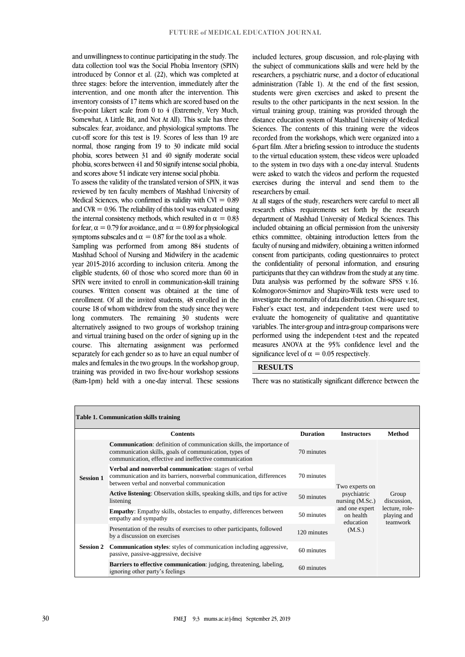and unwillingness to continue participating in the study. The data collection tool was the Social Phobia Inventory (SPIN) introduced by Connor et al. (22), which was completed at three stages: before the intervention, immediately after the intervention, and one month after the intervention. This inventory consists of 17 items which are scored based on the five-point Likert scale from 0 to 4 (Extremely, Very Much, Somewhat, A Little Bit, and Not At All). This scale has three subscales: fear, avoidance, and physiological symptoms. The cut-off score for this test is 19. Scores of less than 19 are normal, those ranging from 19 to 30 indicate mild social phobia, scores between 31 and 40 signify moderate social phobia, scores between 41 and 50 signify intense social phobia, and scores above 51 indicate very intense social phobia.

To assess the validity of the translated version of SPIN, it was reviewed by ten faculty members of Mashhad University of Medical Sciences, who confirmed its validity with  $CVI = 0.89$ and CVR  $= 0.96$ . The reliability of this tool was evaluated using the internal consistency methods, which resulted in  $\alpha = 0.83$ for fear,  $\alpha = 0.79$  for avoidance, and  $\alpha = 0.89$  for physiological symptoms subscales and  $\alpha = 0.87$  for the tool as a whole.

Sampling was performed from among 884 students of Mashhad School of Nursing and Midwifery in the academic year 2015-2016 according to inclusion criteria. Among the eligible students, 60 of those who scored more than 60 in SPIN were invited to enroll in communication-skill training courses. Written consent was obtained at the time of enrollment. Of all the invited students, 48 enrolled in the course 18 of whom withdrew from the study since they were long commuters. The remaining 30 students were alternatively assigned to two groups of workshop training and virtual training based on the order of signing up in the course. This alternating assignment was performed separately for each gender so as to have an equal number of males and females in the two groups. In the workshop group, training was provided in two five-hour workshop sessions (8am-1pm) held with a one-day interval. These sessions included lectures, group discussion, and role-playing with the subject of communications skills and were held by the researchers, a psychiatric nurse, and a doctor of educational administration (Table 1). At the end of the first session, students were given exercises and asked to present the results to the other participants in the next session. In the virtual training group, training was provided through the distance education system of Mashhad University of Medical Sciences. The contents of this training were the videos recorded from the workshops, which were organized into a 6-part film. After a briefing session to introduce the students to the virtual education system, these videos were uploaded to the system in two days with a one-day interval. Students were asked to watch the videos and perform the requested exercises during the interval and send them to the researchers by email.

At all stages of the study, researchers were careful to meet all research ethics requirements set forth by the research department of Mashhad University of Medical Sciences. This included obtaining an official permission from the university ethics committee, obtaining introduction letters from the faculty of nursing and midwifery, obtaining a written informed consent from participants, coding questionnaires to protect the confidentiality of personal information, and ensuring participants that they can withdraw from the study at any time. Data analysis was performed by the software SPSS v.16. Kolmogorov-Smirnov and Shapiro-Wilk tests were used to investigate the normality of data distribution. Chi-square test, Fisher's exact test, and independent t-test were used to evaluate the homogeneity of qualitative and quantitative variables. The inter-group and intra-group comparisons were performed using the independent t-test and the repeated measures ANOVA at the 95% confidence level and the significance level of  $\alpha = 0.05$  respectively.

#### **RESULTS**

There was no statistically significant difference between the

| <b>Table 1. Communication skills training</b> |                                                                                                                                                                                                 |                 |                                          |                                                                   |  |  |  |  |  |  |
|-----------------------------------------------|-------------------------------------------------------------------------------------------------------------------------------------------------------------------------------------------------|-----------------|------------------------------------------|-------------------------------------------------------------------|--|--|--|--|--|--|
|                                               | <b>Contents</b>                                                                                                                                                                                 | <b>Duration</b> | <b>Instructors</b>                       | Method                                                            |  |  |  |  |  |  |
| <b>Session 1</b>                              | <b>Communication:</b> definition of communication skills, the importance of<br>communication skills, goals of communication, types of<br>communication, effective and ineffective communication | 70 minutes      |                                          | Group<br>discussion,<br>lecture, role-<br>playing and<br>teamwork |  |  |  |  |  |  |
|                                               | Verbal and nonverbal communication: stages of verbal<br>communication and its barriers, nonverbal communication, differences<br>between verbal and nonverbal communication                      | 70 minutes      | Two experts on                           |                                                                   |  |  |  |  |  |  |
|                                               | <b>Active listening:</b> Observation skills, speaking skills, and tips for active<br>listening                                                                                                  | 50 minutes      | psychiatric<br>nursing $(M.Sc.)$         |                                                                   |  |  |  |  |  |  |
|                                               | <b>Empathy:</b> Empathy skills, obstacles to empathy, differences between<br>empathy and sympathy                                                                                               | 50 minutes      | and one expert<br>on health<br>education |                                                                   |  |  |  |  |  |  |
| <b>Session 2</b>                              | Presentation of the results of exercises to other participants, followed<br>by a discussion on exercises                                                                                        | 120 minutes     | (M.S.)                                   |                                                                   |  |  |  |  |  |  |
|                                               | <b>Communication styles:</b> styles of communication including aggressive,<br>passive, passive-aggressive, decisive                                                                             | 60 minutes      |                                          |                                                                   |  |  |  |  |  |  |
|                                               | <b>Barriers to effective communication:</b> judging, threatening, labeling,<br>ignoring other party's feelings                                                                                  | 60 minutes      |                                          |                                                                   |  |  |  |  |  |  |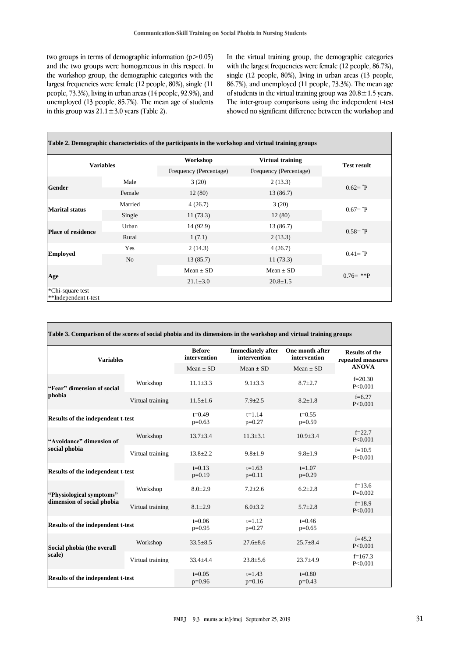two groups in terms of demographic information  $(p>0.05)$ and the two groups were homogeneous in this respect. In the workshop group, the demographic categories with the largest frequencies were female (12 people, 80%), single (11 people, 73.3%), living in urban areas (14 people, 92.9%), and unemployed (13 people, 85.7%). The mean age of students in this group was  $21.1 \pm 3.0$  years (Table 2).

In the virtual training group, the demographic categories with the largest frequencies were female (12 people, 86.7%), single (12 people, 80%), living in urban areas (13 people, 86.7%), and unemployed (11 people, 73.3%). The mean age of students in the virtual training group was  $20.8 \pm 1.5$  years. The inter-group comparisons using the independent t-test showed no significant difference between the workshop and

| <b>Variables</b>                         |                | Workshop<br><b>Virtual training</b> |                        | <b>Test result</b>      |  |
|------------------------------------------|----------------|-------------------------------------|------------------------|-------------------------|--|
|                                          |                | Frequency (Percentage)              | Frequency (Percentage) |                         |  |
| <b>Gender</b>                            | Male           | 3(20)                               | 2(13.3)                | $0.62 = {}^{*}P$        |  |
|                                          | Female         | 12(80)                              | 13 (86.7)              |                         |  |
|                                          | Married        | 4(26.7)                             | 3(20)                  | $0.67 = {}^{*}\text{P}$ |  |
| <b>Marital status</b>                    | Single         | 11(73.3)                            | 12(80)                 |                         |  |
|                                          | Urban          | 14 (92.9)                           | 13 (86.7)              | $0.58 = {}^{*}P$        |  |
| <b>Place of residence</b>                | Rural          | 1(7.1)                              | 2(13.3)                |                         |  |
|                                          | Yes            | 2(14.3)                             | 4(26.7)                | $0.41 = {}^*P$          |  |
| <b>Employed</b>                          | N <sub>o</sub> | 13(85.7)                            | 11(73.3)               |                         |  |
|                                          |                | Mean $\pm$ SD                       | Mean $\pm$ SD          |                         |  |
| Age                                      |                | $21.1 \pm 3.0$                      | $20.8 \pm 1.5$         | $0.76 = **P$            |  |
| *Chi-square test<br>**Independent t-test |                |                                     |                        |                         |  |

| Table 3. Comparison of the scores of social phobia and its dimensions in the workshop and virtual training groups |                  |                               |                                          |                                                |                                                            |  |  |  |  |
|-------------------------------------------------------------------------------------------------------------------|------------------|-------------------------------|------------------------------------------|------------------------------------------------|------------------------------------------------------------|--|--|--|--|
| <b>Variables</b>                                                                                                  |                  | <b>Before</b><br>intervention | <b>Immediately after</b><br>intervention | One month after<br>intervention<br>$Mean + SD$ | <b>Results of the</b><br>repeated measures<br><b>ANOVA</b> |  |  |  |  |
|                                                                                                                   |                  | $Mean + SD$                   | $Mean + SD$                              |                                                |                                                            |  |  |  |  |
| "Fear" dimension of social                                                                                        | Workshop         | $11.1 \pm 3.3$                | $9.1 \pm 3.3$                            | $8.7 + 2.7$                                    | $f=20.30$<br>P < 0.001                                     |  |  |  |  |
| phobia                                                                                                            | Virtual training | $11.5 + 1.6$                  | $7.9 \pm 2.5$                            | $8.2 + 1.8$                                    | $f=6.27$<br>P < 0.001                                      |  |  |  |  |
| <b>Results of the independent t-test</b>                                                                          |                  | $t=0.49$<br>$p=0.63$          | $t = 1.14$<br>$p=0.27$                   | $t=0.55$<br>$p=0.59$                           |                                                            |  |  |  |  |
| "Avoidance" dimension of                                                                                          | Workshop         | $13.7 \pm 3.4$                | $11.3 \pm 3.1$                           | $10.9 \pm 3.4$                                 | $f = 22.7$<br>P < 0.001                                    |  |  |  |  |
| social phobia                                                                                                     | Virtual training | $13.8 + 2.2$                  | $9.8 + 1.9$                              | $9.8 + 1.9$                                    | $f=10.5$<br>P < 0.001                                      |  |  |  |  |
| <b>Results of the independent t-test</b>                                                                          |                  | $t=0.13$<br>$p=0.19$          | $t=1.63$<br>$p=0.11$                     | $t=1.07$<br>$p=0.29$                           |                                                            |  |  |  |  |
| "Physiological symptoms"                                                                                          | Workshop         | $8.0 + 2.9$                   | $7.2 + 2.6$                              | $6.2 + 2.8$                                    | $f=13.6$<br>$P=0.002$                                      |  |  |  |  |
| dimension of social phobia                                                                                        | Virtual training | $8.1 + 2.9$                   | $6.0 + 3.2$                              | $5.7 + 2.8$                                    | $f=18.9$<br>P < 0.001                                      |  |  |  |  |
| <b>Results of the independent t-test</b>                                                                          |                  | $t=0.06$<br>$p=0.95$          | $t=1.12$<br>$p=0.27$                     | $t=0.46$<br>$p=0.65$                           |                                                            |  |  |  |  |
| Social phobia (the overall                                                                                        | Workshop         | $33.5 \pm 8.5$                | $27.6 + 8.6$                             | $25.7 + 8.4$                                   | $f = 45.2$<br>P < 0.001                                    |  |  |  |  |
| scale)                                                                                                            | Virtual training | $33.4 + 4.4$                  | $23.8 + 5.6$                             | $23.7 + 4.9$                                   | $f=167.3$<br>P < 0.001                                     |  |  |  |  |
| <b>Results of the independent t-test</b>                                                                          |                  | $t=0.05$<br>$p=0.96$          | $t=1.43$<br>$p=0.16$                     | $t=0.80$<br>$p=0.43$                           |                                                            |  |  |  |  |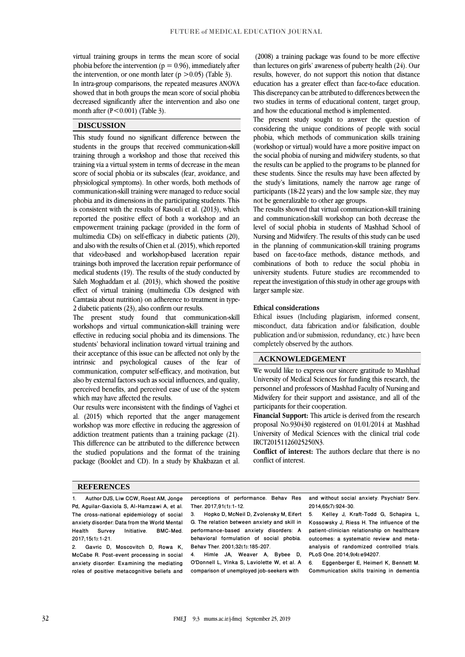virtual training groups in terms the mean score of social phobia before the intervention ( $p = 0.96$ ), immediately after the intervention, or one month later ( $p > 0.05$ ) (Table 3).

In intra-group comparisons, the repeated measures ANOVA showed that in both groups the mean score of social phobia decreased significantly after the intervention and also one month after  $(P<0.001)$  (Table 3).

### **DISCUSSION**

This study found no significant difference between the students in the groups that received communication-skill training through a workshop and those that received this training via a virtual system in terms of decrease in the mean score of social phobia or its subscales (fear, avoidance, and physiological symptoms). In other words, both methods of communication-skill training were managed to reduce social phobia and its dimensions in the participating students. This is consistent with the results of Rasouli et al. (2013), which reported the positive effect of both a workshop and an empowerment training package (provided in the form of multimedia CDs) on self-efficacy in diabetic patients (20), and also with the results of Chien et al. (2015), which reported that video-based and workshop-based laceration repair trainings both improved the laceration repair performance of medical students (19). The results of the study conducted by Saleh Moghaddam et al. (2013), which showed the positive effect of virtual training (multimedia CDs designed with Camtasia about nutrition) on adherence to treatment in type-2 diabetic patients (23), also confirm our results.

The present study found that communication-skill workshops and virtual communication-skill training were effective in reducing social phobia and its dimensions. The students' behavioral inclination toward virtual training and their acceptance of this issue can be affected not only by the intrinsic and psychological causes of the fear of communication, computer self-efficacy, and motivation, but also by external factors such as social influences, and quality, perceived benefits, and perceived ease of use of the system which may have affected the results.

Our results were inconsistent with the findings of Vaghei et al. (2015) which reported that the anger management workshop was more effective in reducing the aggression of addiction treatment patients than a training package (21). This difference can be attributed to the difference between the studied populations and the format of the training package (Booklet and CD). In a study by Khakbazan et al.

(2008) a training package was found to be more effective than lectures on girls' awareness of puberty health (24). Our results, however, do not support this notion that distance education has a greater effect than face-to-face education. This discrepancy can be attributed to differences between the two studies in terms of educational content, target group, and how the educational method is implemented.

The present study sought to answer the question of considering the unique conditions of people with social phobia, which methods of communication skills training (workshop or virtual) would have a more positive impact on the social phobia of nursing and midwifery students, so that the results can be applied to the programs to be planned for these students. Since the results may have been affected by the study's limitations, namely the narrow age range of participants (18-22 years) and the low sample size, they may not be generalizable to other age groups.

The results showed that virtual communication-skill training and communication-skill workshop can both decrease the level of social phobia in students of Mashhad School of Nursing and Midwifery. The results of this study can be used in the planning of communication-skill training programs based on face-to-face methods, distance methods, and combinations of both to reduce the social phobia in university students. Future studies are recommended to repeat the investigation of this study in other age groups with larger sample size.

#### **Ethical considerations**

Ethical issues (Including plagiarism, informed consent, misconduct, data fabrication and/or falsification, double publication and/or submission, redundancy, etc.) have been completely observed by the authors.

### **ACKNOWLEDGEMENT**

We would like to express our sincere gratitude to Mashhad University of Medical Sciences for funding this research, the personnel and professors of Mashhad Faculty of Nursing and Midwifery for their support and assistance, and all of the participants for their cooperation.

**Financial Support:** This article is derived from the research proposal No.930430 registered on 01/01/2014 at Mashhad University of Medical Sciences with the clinical trial code IRCT20151126025250N3.

**Conflict of interest:** The authors declare that there is no conflict of interest.

#### **REFERENCES**

1. Author DJS, Liw CCW, Roest AM, Jonge Pd, Aguilar-Gaxiola S, Al-Hamzawi A, et al. The cross-national epidemiology of social anxiety disorder: Data from the World Mental Health Survey Initiative. BMC-Med. 2017;15(1):1-21.

2. Gavric D, Moscovitch D, Rowa K, McCabe R. Post-event processing in social anxiety disorder: Examining the mediating roles of positive metacognitive beliefs and perceptions of performance. Behav Res Ther. 2017;91(1):1-12.

3. Hopko D, McNeil D, Zvolensky M, Eifert G. The relation between anxiety and skill in performance-based anxiety disorders: A behavioral formulation of social phobia. Behav Ther. 2001;32(1):185-207.

4. Himle JA, Weaver A, Bybee D, O'Donnell L, Vlnka S, Laviolette W, et al. A comparison of unemployed job-seekers with

and without social anxiety. Psychiatr Serv. 2014;65(7):924-30.

5. Kelley J, Kraft-Todd G, Schapira L, Kossowsky J, Riess H. The influence of the patient-clinician relationship on healthcare outcomes: a systematic review and metaanalysis of randomized controlled trials. PLoS One. 2014;9(4):e94207.

6. Eggenberger E, Heimerl K, Bennett M. Communication skills training in dementia